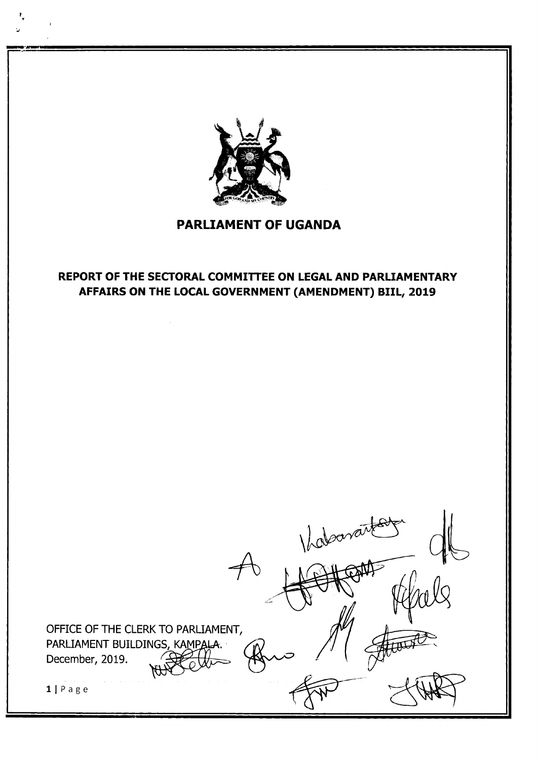

# PARLIAMENT OF UGANDA

# REPORT OF THE SECTORAL COMMITTEE ON LEGAL AND PARLIAMENTARY AFFAIRS ON THE LOCAL GOVERNMENT (AMENDMENT) BIIL, 2Ot9

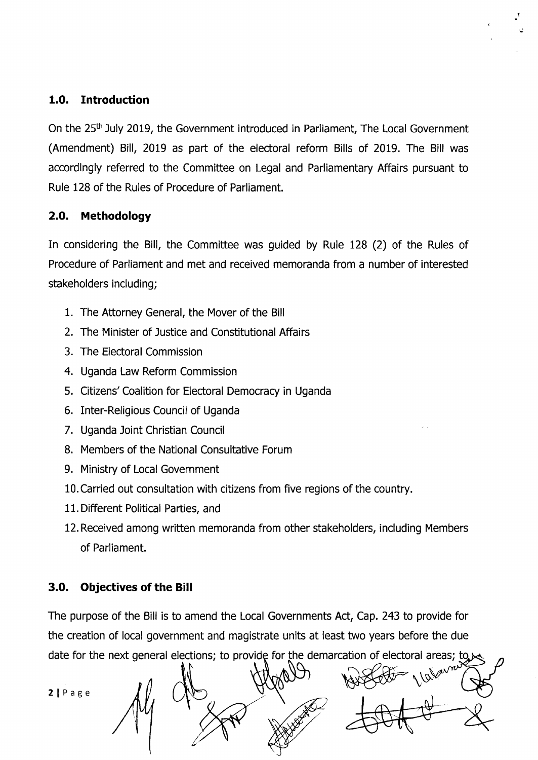## 1.0. Introduction

On the 25<sup>th</sup> July 2019, the Government introduced in Parliament, The Local Government (Amendment) Bill, 2019 as part of the electoral reform Bills of 2019. The Bill was accordingly referred to the Committee on Legal and Parliamentary Affairs pursuant to Rule 128 of the Rules of Procedure of Parliament.

## 2.O. Methodology

In considering the Bill, the Committee was quided by Rule 128 (2) of the Rules of Procedure of Parliament and met and received memoranda from a number of interested stakeholders including;

- 1. The Attorney General, the Mover of the Bill
- 2. The Minister of Justice and Constitutional Affairs
- 3. The Electoral Commission
- 4. Uganda Law Reform Commission
- 5. Citizens' Coalition for Electoral Democracy in Uganda
- 6. Inter-Religious Council of Uganda
- 7. Uganda Joint Christian Council
- B. Members of the National Consultative Forum
- 9. Ministry of Local Government
- l0.Carried out consultation with citizens from five regions of the country.
- 11. Different Political Parties, and
- 12. Received among written memoranda from other stakeholders, including Members of Parliament.

# 3.0. Objectives of the Bill

The purpose of the Bill is to amend the Local Governments Act, Cap.243 to provide for the creation of local government and magistrate units at least two years before the due date for the next general elections; to provide for the demarcation of electoral areas;

2 | Page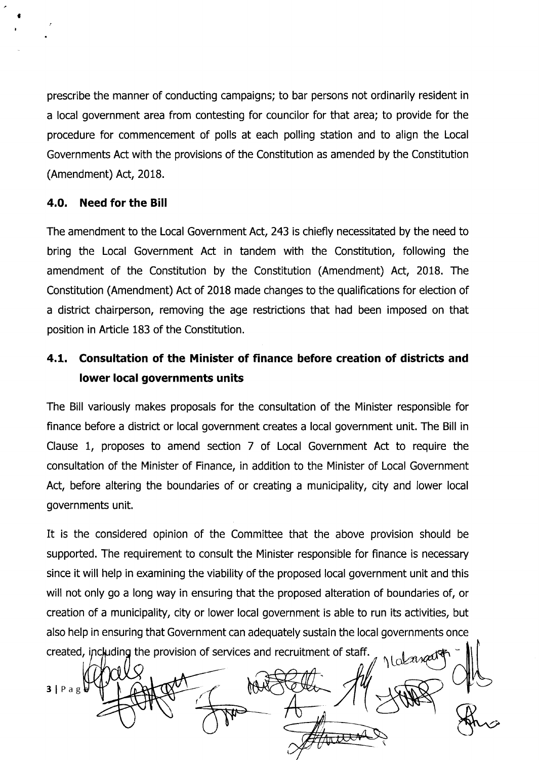prescribe the manner of conducting campaigns; to bar persons not ordinarily resident in a local government area from contesting for councilor for that area; to provide for the procedure for commencement of polls at each polling station and to align the Local Governments Act with the provisions of the Constitution as amended by the Constitution (Amendment) Act, 2018.

### 4.O. Need for the Bill

a

The amendment to the Local Government Act, 243 is chiefly necessitated by the need to bring the Local Government Act in tandem with the Constitution, following the amendment of the Constitution by the Constitution (Amendment) Act, 2018. The Constitution (Amendment) Act of 2018 made changes to the qualifications for election of a district chairperson, removing the age restrictions that had been imposed on that position in Afticle 183 of the Constitution.

# 4,L. Consultation of the Minister of finance before creation of districts and lower Iocal governments units

The Bill variously makes proposals for the consultation of the Minister responsible for finance before a district or local government creates a local government unit. The Bill in Clause t, proposes to amend section 7 of Local Government Act to require the consultation of the Minister of Finance, in addition to the Minister of Local Government Act, before altering the boundaries of or creating a municipality, city and lower local governments unit.

It is the considered opinion of the Committee that the above provision should be supported. The requirement to consult the Minister responsible for finance is necessary since it will help in examining the viability of the proposed local government unit and this will not only go a long way in ensuring that the proposed alteration of boundaries of, or creation of a municipality, city or lower local government is able to run its activities, but also help in ensuring that Government can adequately sustain the local governments once created, including the provision of services and recruitment of staff

1 darrat  $3 | P \text{ a } g \}$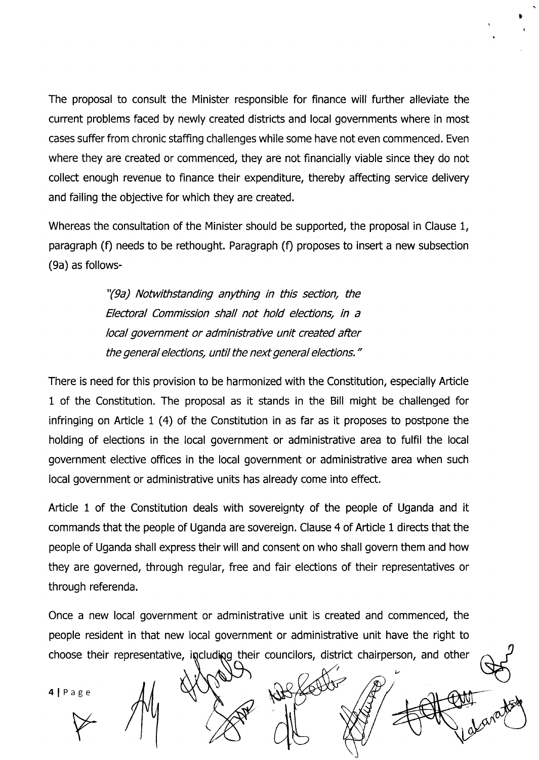The proposal to consult the Minister responsible for finance will fufther alleviate the current problems faced by newly created districts and local governments where in most cases suffer from chronic staffing challenges while some have not even commenced. Even where they are created or commenced, they are not financially viable since they do not collect enough revenue to finance their expenditure, thereby affecting seruice delivery and failing the objective for which they are created.

t

Whereas the consultation of the Minister should be supported, the proposal in Clause 1, paragraph (f) needs to be rethought. Paragraph (f) proposes to insert a new subsection (9a) as follows-

> "(9a) Notwithstanding anything in this section, the Electoral Commission shall not hold elections, in a local government or administrative unit created after the general elections, until the next general elections."

There is need for this provision to be harmonized with the Constitution, especially Article 1 of the Constitution. The proposal as it stands in the Bill might be challenged for infringing on Article 1 (4) of the Constitution in as far as it proposes to postpone the holding of elections in the local government or administrative area to fulfil the local government elective offices in the local government or administrative area when such local government or administrative units has already come into effect.

Afticle 1 of the Constitution deals with sovereignty of the people of Uganda and it commands that the people of Uganda are sovereign. Clause 4 of Article 1 directs that the people of Uganda shall express their will and consent on who shall govern them and how they are governed, through regular, free and fair elections of their representatives or through referenda.

Once a new local government or administrative unit is created and commenced, the people resident in that new local government or administrative unit have the right to choose their representative, including their councilors, district chairperson, and other

Nels

l/

4lPage age<br>V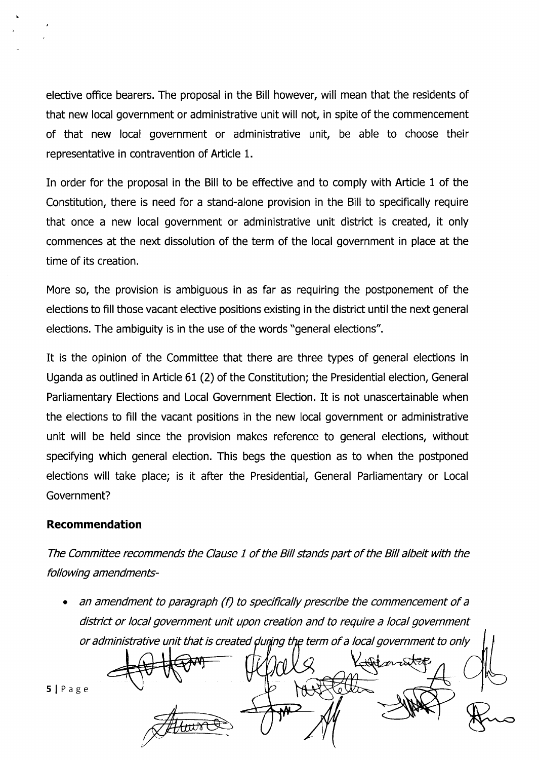elective office bearers. The proposal in the Bill however, will mean that the residents of that new local government or administrative unit will not, in spite of the commencement of that new local government or administrative unit, be able to choose their representative in contravention of Article 1.

In order for the proposal in the Bill to be effective and to comply with Article 1 of the Constitution, there is need for a stand-alone provision in the Bill to specifically require that once a new local government or administrative unit district is created, it only commences at the next dissolution of the term of the local government in place at the time of its creation.

More so, the provision is ambiguous in as far as requiring the postponement of the elections to fill those vacant elective positions existing in the district until the next general elections. The ambiguity is in the use of the words "general elections".

It is the opinion of the Committee that there are three types of general elections in Uganda as outlined in Afticle 61 (2) of the Constitution; the Presidential election, General Parliamentary Elections and Local Government Election. It is not unascertainable when the elections to fill the vacant positions in the new local government or administrative unit will be held since the provision makes reference to general elections, without specifying which general election. This begs the question as to when the postponed elections will take place; is it after the Presidential, General Parliamentary or Local Government?

#### Recommendation

The Committee recommends the Clause 1 of the Bill stands part of the Bill albeit with the following amendments-

an amendment to paragraph (f) to specifically prescribe the commencement of a district or local government unit upon creation and to require a local government a or administrative unit that is created during the term of a local government to only

5lPage

Jan 24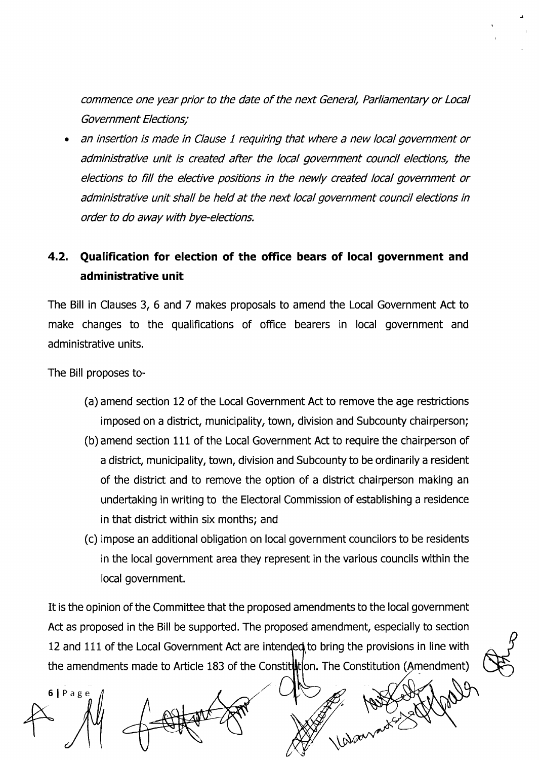commence one year prior to the date of the next General, Parliamentary or Local Government Elections;

f

a an insertion is made in Clause 1 requiring that where a new local government or administrative unit is created after the local government council elections, the elections to fill the elective positions in the newly created local government or administrative unit shall be held at the next local government council elections in order to do away with bye-elections.

# 4.2. Qualification for election of the office bears of local government and administrative unit

The Bill in Clauses 3, 6 and 7 makes proposals to amend the Local Government Act to make changes to the qualifications of office bearers in local government and administrative units.

The Bill proposes to-

- (a) amend section L2 of the Local Government Act to remove the age restrictions imposed on a district, municipality, town, division and Subcounty chairperson;
- (b) amend section 111 of the Local Government Act to require the chairperson of a district, municipality, town, division and Subcounty to be ordinarily a resident of the district and to remove the option of a district chairperson making an undertaking in writing to the Electoral Commission of establishing a residence in that district within six months; and
- (c) impose an additional obligation on local government councilors to be residents in the local government area they represent in the various councils within the Iocal government.

It is the opinion of the Committee that the proposed amendments to the local government Act as proposed in the Bill be supported. The proposed amendment, especially to section 12 and 111 of the Local Government Act are intended to bring the provisions in line with the amendments made to Article 183 of the Constit**it**tion. The Constitution (

SlPage Warnest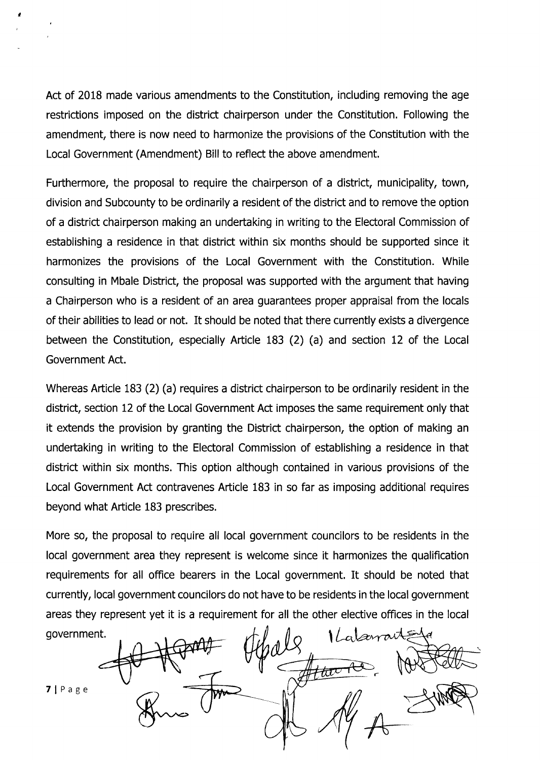Act of 2018 made various amendments to the Constitution, including removing the age restrictions imposed on the district chairperson under the Constitution. Following the amendment, there is now need to harmonize the provisions of the Constitution with the Local Government (Amendment) Bill to reflect the above amendment.

l

Furthermore, the proposal to require the chairperson of a district, municipality, town, division and Subcounty to be ordinarily a resident of the district and to remove the option of a district chairperson making an undeftaking in writing to the Electoral Commission of establishing a residence in that district within six months should be supported since it harmonizes the provisions of the Local Government with the Constitution. While consulting in Mbale District, the proposal was supported with the argument that having a Chairperson who is a resident of an area guarantees proper appraisal from the locals of their abilities to lead or not. It should be noted that there currently exists a divergence between the Constitution, especially Article 183 (2) (a) and section 12 of the Local Government Act.

Whereas Afticle 183 (2) (a) requires a district chairperson to be ordinarily resident in the district, section L2 of the Local Government Act imposes the same requirement only that it extends the provision by granting the District chairperson, the option of making an undertaking in writing to the Electoral Commission of establishing a residence in that district within six months. This option although contained in various provisions of the Local Government Act contravenes Afticle 183 in so far as imposing additional requires beyond what Afticle 183 prescribes.

More so, the proposal to require all local government councilors to be residents in the local government area they represent is welcome since it harmonizes the qualification requirements for all office bearers in the Local government. It should be noted that currently, local government councilors do not have to be residents in the local government areas they represent yet it is a requirement for all the other elective offices in the local

government.  $\mathfrak{g}_{\alpha} = \mathfrak{g}_{\alpha} + \mathfrak{g}_{\alpha} + \mathfrak{g}_{\alpha} + \mathfrak{g}_{\alpha}$  $dV\!\times$ yy तार t'7 | Page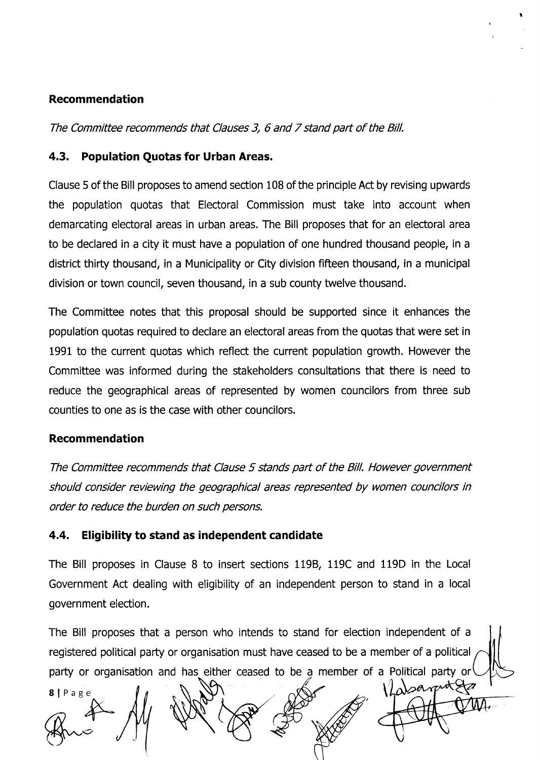### Recommendation

The Committee recommends that Clauses 3, 6 and 7 stand part of the Bill.

### 4.3. Population Quotas for Urban Areas.

Clause 5 of the Bill proposes to amend section 108 of the principle Act by revising upwards the population quotas that Electoral Commission must take into account when demarcating electoral areas in urban areas. The Bill proposes that for an electoral area to be declared in a city it must have a population of one hundred thousand people, in <sup>a</sup> district thirty thousand, in a Municipality or City division flfteen thousand, in a municipal division or town council, seven thousand, in a sub county twelve thousand.

t

The Committee notes that this proposal should be supported since it enhances the population quotas required to declare an electoral areas from the quotas that were set in 1991 to the current quotas which reflect the current population growth. However the Committee was informed during the stakeholders consultations that there is need to reduce the geographical areas of represented by women councilors from three sub counties to one as is the case with other councilors.

### Recommendation

The Committee recommends that Clause 5 stands part of the Bill. However government should consider reviewing the geographical areas represented by women councilors in order to reduce the burden on such persons.

### 4.4. Eligibility to stand as independent candidate

The Bill proposes in Clause 8 to insert sections 1198, 119C and 119D in the Local Government Act dealing with eligibility of an independent person to stand in a local government election.

The Bill proposes that a person who intends to stand for election independent of <sup>a</sup> registered political party or organisation must have ceased to be a member of a political party or organisation and has either ceased to be a member of a Political party or

Vlasarent 8lPage MA.  $#$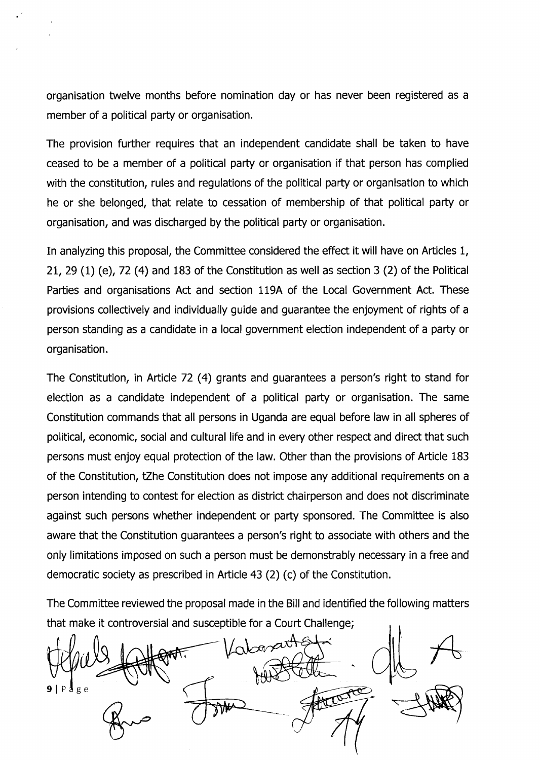organisation twelve months before nomination day or has never been registered as <sup>a</sup> member of a political party or organisation.

The provision further requires that an independent candidate shall be taken to have ceased to be a member of a political party or organisation if that person has complied with the constitution, rules and regulations of the political party or organisation to which he or she belonged, that relate to cessation of membership of that political party or organisation, and was discharged by the political party or organisation.

In analyzing this proposal, the Committee considered the effect it will have on Articles 1, 21, 29 (1) (e), 72 (4) and 183 of the Constitution as well as section 3 (2) of the Political Parties and organisations Act and section 119A of the Local Government Act. These provisions collectively and individually guide and guarantee the enjoyment of rights of a person standing as a candidate in a local government election independent of a party or organisation.

The Constitution, in Article 72 (4) grants and guarantees a person's right to stand for election as a candidate independent of a political party or organisation. The same Constitution commands that all persons in Uganda are equal before law in all spheres of political, economic, social and cultural life and in every other respect and direct that such persons must enjoy equal protection of the law. Other than the provisions of Article 183 of the Constitution, tZhe Constitution does not impose any additional requirements on a person intending to contest for election as district chairperson and does not discriminate against such persons whether independent or party sponsored. The Committee is also aware that the Constitution guarantees a person's right to associate with others and the only limitations imposed on such a person must be demonstrably necessary in a free and democratic society as prescribed in Afticle 43 (2) (c) of the Constitution.

The Committee reviewed the proposal made in the Bill and identified the following matters that make it controversial and susceptible for a Court Challenge;

Laborarte  $91P$   $8e$ trunce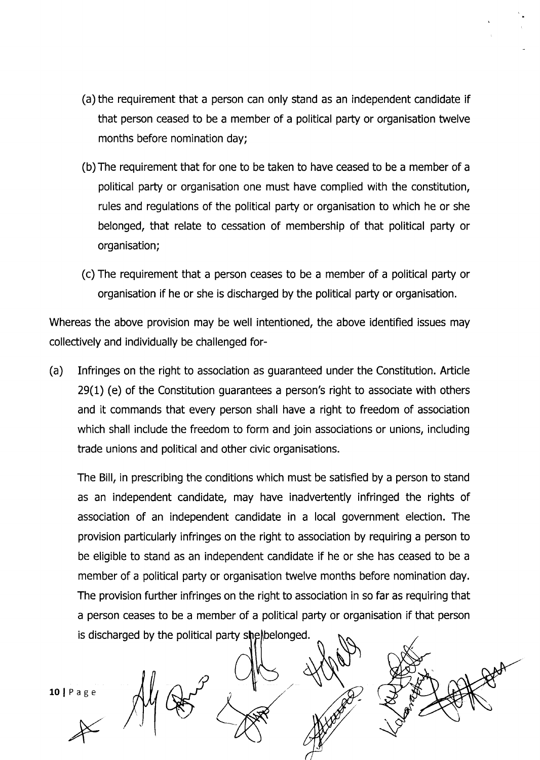- (a) the requirement that a person can only stand as an independent candidate if that person ceased to be a member of a political party or organisation twelve months before nomination day;
- (b)The requirement that for one to be taken to have ceased to be a member of a political party or organisation one must have complied with the constitution, rules and regulations of the political party or organisation to which he or she belonged, that relate to cessation of membership of that political party or organisation;
- (c) The requirement that a person ceases to be a member of a political pafty or organisation if he or she is discharged by the political party or organisation.

Whereas the above provision may be well intentioned, the above identified issues may collectively and individually be challenged for-

(a) Infringes on the right to association as guaranteed under the Constitution. Article 29(1) (e) of the Constitution guarantees a person's right to associate with others and it commands that every person shall have a right to freedom of association which shall include the freedom to form and join associations or unions, including trade unions and political and other civic organisations.

The Bill, in prescribing the conditions which must be satisfied by a person to stand as an independent candidate, may have inadvertently infringed the rights of association of an independent candidate in a local government election. The provision particularly infringes on the right to association by requiring a person to be eligible to stand as an independent candidate if he or she has ceased to be a member of a political party or organisation twelve months before nomination day. The provision further infringes on the right to association in so far as requiring that a person ceases to be a member of a political party or organisation if that person is discharged by the political party shelbelonged.

 $10$  | Page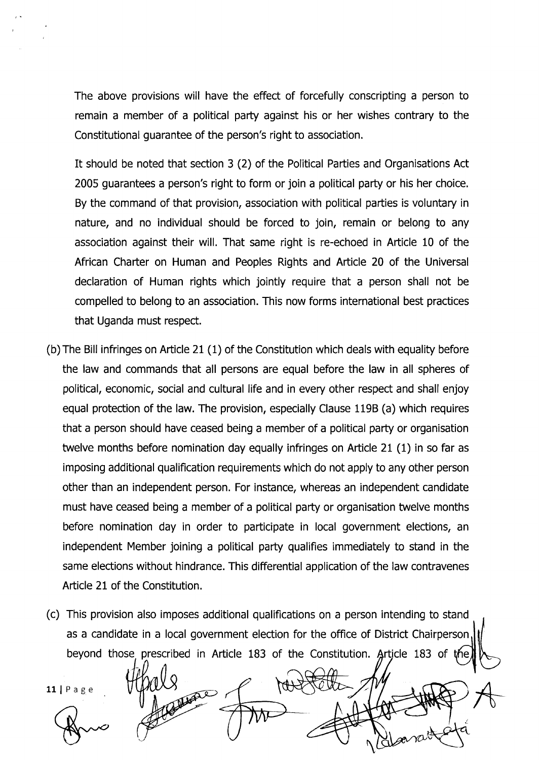The above provisions will have the effect of forcefully conscripting a person to remain a member of a political party against his or her wishes contrary to the Constitutional guarantee of the person's right to association.

It should be noted that section 3 (2) of the Political Parties and Organisations Act 2005 guarantees a person's right to form or join a political party or his her choice. By the command of that provision, association with political parties is voluntary in nature, and no individual should be forced to join, remain or belong to any association against their will. That same right is re-echoed in Afticle 10 of the African Charter on Human and Peoples Rights and Article 20 of the Universal declaration of Human rights which jointly require that a person shall not be compelled to belong to an association. This now forms international best practices that Uganda must respect.

- (b) The Bill infringes on Article 21 (1) of the Constitution which deals with equality before the law and commands that all persons are equal before the law in all spheres of political, economic, social and cultural life and in every other respect and shall enjoy equal protection of the law. The provision, especially Clause 119B (a) which requires that a person should have ceased being a member of a political paty or organisation twelve months before nomination day equally infringes on Article 21 (1) in so far as imposing additional qualification requirements which do not apply to any other person other than an independent person. For instance, whereas an independent candidate must have ceased being a member of a political party or organisation twelve months before nomination day in order to participate in local government elections, an independent Member joining a political party qualifies immediately to stand in the same elections without hindrance. This differential application of the law contravenes Article 21 of the Constitution.
- (c) This provision also imposes additional qualifications on a person intending to stand as a candidate in a local government election for the office of District Chairperson beyond those prescribed in Article 183 of the Constitution. Article 183 of

**AL** 

Allace of

 $\ddot{\phantom{0}}$ 

 $11$  | Page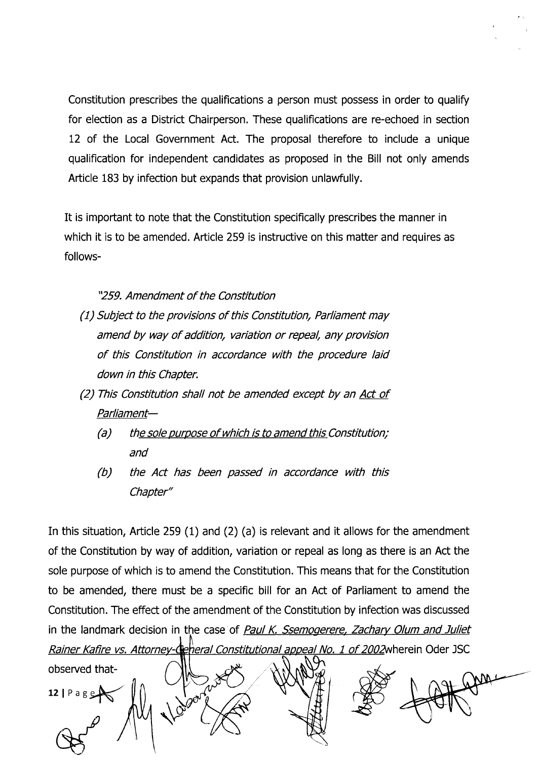Constitution prescribes the qualifications a person must possess in order to qualify for election as a District Chairperson. These qualifications are re-echoed in section 12 of the Local Government Act. The proposal therefore to include a unique qualification for independent candidates as proposed in the Bill not only amends Article 183 by infection but expands that provision unlawfully.

It is important to note that the Constitution specifically prescribes the manner in which it is to be amended. Article 259 is instructive on this matter and requires as follows-

"259. Amendment of the Constitution

- (1) Subject to the provisions of this Constitution, Parliament may amend by way of addition, variation or repeal, any provision of this Constitution in accordance with the procedure laid down in this Chapter.
- $(2)$  This Constitution shall not be amended except by an Act of Parliament-
	- $(a)$  the sole purpose of which is to amend this Constitution; and
	- (b) the Act has been passed in accordance with this Chapter"

In this situation, Afticle 259 (1) and (2) (a) is relevant and it allows for the amendment of the Constitution by way of addition, variation or repeal as long as there is an Act the sole purpose of which is to amend the Constitution. This means that for the Constitution to be amended, there must be a specific bill for an Act of Parliament to amend the Constitution. The effect of the amendment of the Constitution by infection was discussed in the landmark decision in the case of Paul K. Ssemogerere, Zachary Olum and Juliet Rainer Kafire vs. Attorney-Ceheral Constitutional appeal No. 1 of 2002 wherein Oder JSC

obserued that-12 |  $P$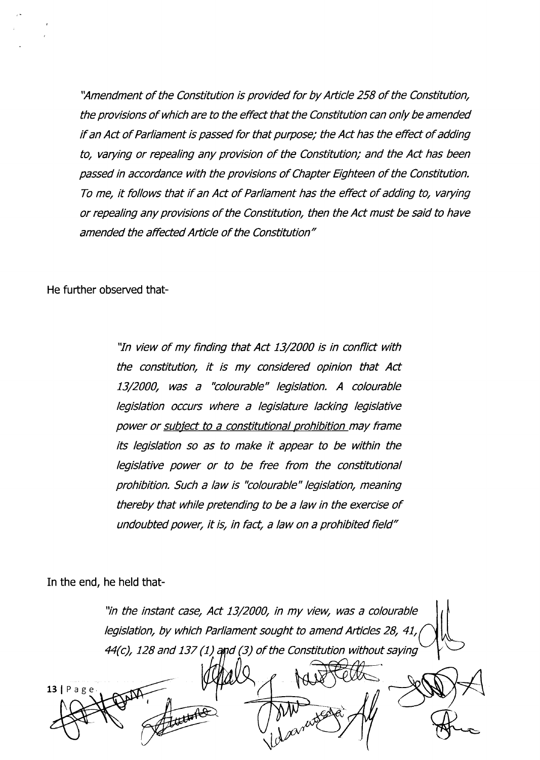'Amendment of the Constitution is provided for by Article 258 of the Constitution, the provisions of which are to the effect that the Constitution can only be amended if an Act of Parliament is passed for that purpose; the Act has the effect of adding to, varying or repealing any provision of the Constitution; and the Act has been passed in accordance with the provisions of Chapter Eighteen of the Constitution. To me, it follows that if an Act of Parliament has the effect of adding to, varying or repealing any provisions of the Constitution, then the Act must be said to have amended the affected Article of the Constitution"

He further observed that-

"In view of my finding that Act 13/2000 is in conflict with the constitution, it is my considered opinion that Act 13/2000, was a "colourable" legislation. A colourable legislation occurs where a legislature lacking legislative power or subject to a constitutional prohibition may frame its legislation so as to make it appear to be within the legislative power or to be free from the constitutional prohibition. Such a law is "colourable" legislation, meaning thereby that while pretending to be a law in the exercise of undoubted power, it is, in fact, a law on a prohibited field"

In the end, he held that-

"in the instant case, Act 13/2000, in my view, was a colourable legislation, by which Parliament sought to amend Articles 28, 41,  $44(c)$ , 128 and 137 (1) and (3) of the Constitution without saying

 $13 | P \nexists g e$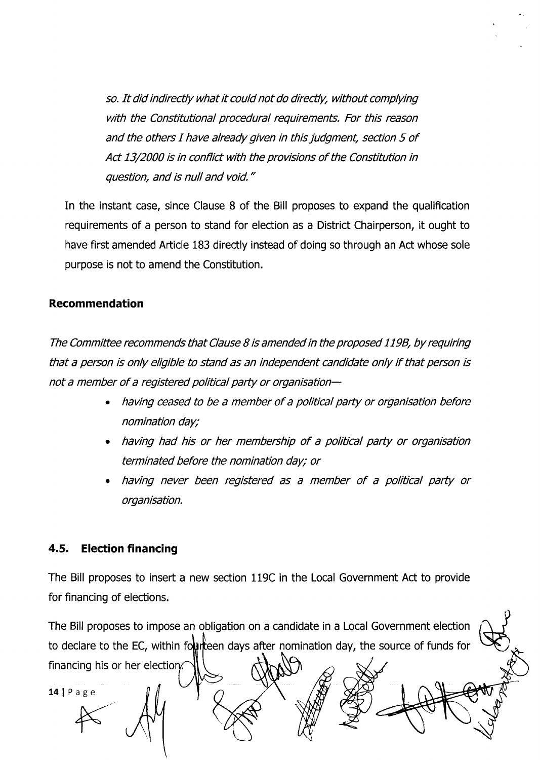so. It did indirectly what it could not do directly, without complying with the Constitutional procedural requirements. For this reason and the others I have already given in this judgment, section 5 of Act 13/2000 is in conflict with the provisions of the Constitution in question, and is null and void."

In the instant case, since Clause B of the Bill proposes to expand the qualification requirements of a person to stand for election as a District Chairperson, it ought to have first amended Article 183 directly instead of doing so through an Act whose sole purpose is not to amend the Constitution.

#### Recommendation

The Committee recommends that Clause B is amended in the proposed 1198, by requiring that a person is only eligible to stand as an independent candidate only if that person is not a member of a registered political party or organisation-

- . having ceased to be a member of a political party or organisation before nomination day;
- . having had his or her membership of a political party or organisation terminated before the nomination day; or
- . having never been registered as a member of a political party or organisation.

### 4.5. Election financing

The Bill proposes to insert a new section 119C in the Local Government Act to provide for financing of elections.

The Bill proposes to impose an obligation on a candidate in a Local Government election to declare to the EC, within fourteen days after nomination day, the source of funds for financing his or her election.  $14$  | Page